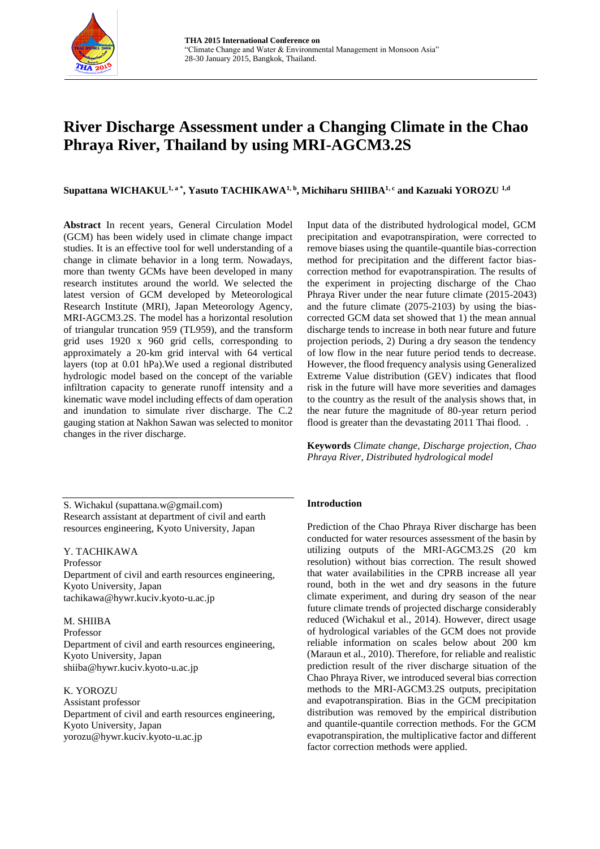

# **River Discharge Assessment under a Changing Climate in the Chao Phraya River, Thailand by using MRI-AGCM3.2S**

**Supattana WICHAKUL1, a \*, Yasuto TACHIKAWA1, b, Michiharu SHIIBA1, c and Kazuaki YOROZU 1,d**

**Abstract** In recent years, General Circulation Model (GCM) has been widely used in climate change impact studies. It is an effective tool for well understanding of a change in climate behavior in a long term. Nowadays, more than twenty GCMs have been developed in many research institutes around the world. We selected the latest version of GCM developed by Meteorological Research Institute (MRI), Japan Meteorology Agency, MRI-AGCM3.2S. The model has a horizontal resolution of triangular truncation 959 (TL959), and the transform grid uses 1920 x 960 grid cells, corresponding to approximately a 20-km grid interval with 64 vertical layers (top at 0.01 hPa).We used a regional distributed hydrologic model based on the concept of the variable infiltration capacity to generate runoff intensity and a kinematic wave model including effects of dam operation and inundation to simulate river discharge. The C.2 gauging station at Nakhon Sawan was selected to monitor changes in the river discharge.

S. Wichakul (supattana.w@gmail.com) Research assistant at department of civil and earth resources engineering, Kyoto University, Japan

Y. TACHIKAWA Professor Department of civil and earth resources engineering, Kyoto University, Japan tachikawa@hywr.kuciv.kyoto-u.ac.jp

M. SHIIBA Professor Department of civil and earth resources engineering, Kyoto University, Japan shiiba@hywr.kuciv.kyoto-u.ac.jp

K. YOROZU

Assistant professor Department of civil and earth resources engineering, Kyoto University, Japan yorozu@hywr.kuciv.kyoto-u.ac.jp

Input data of the distributed hydrological model, GCM precipitation and evapotranspiration, were corrected to remove biases using the quantile-quantile bias-correction method for precipitation and the different factor biascorrection method for evapotranspiration. The results of the experiment in projecting discharge of the Chao Phraya River under the near future climate (2015-2043) and the future climate (2075-2103) by using the biascorrected GCM data set showed that 1) the mean annual discharge tends to increase in both near future and future projection periods, 2) During a dry season the tendency of low flow in the near future period tends to decrease. However, the flood frequency analysis using Generalized Extreme Value distribution (GEV) indicates that flood risk in the future will have more severities and damages to the country as the result of the analysis shows that, in the near future the magnitude of 80-year return period flood is greater than the devastating 2011 Thai flood. .

**Keywords** *Climate change, Discharge projection, Chao Phraya River, Distributed hydrological model*

# **Introduction**

Prediction of the Chao Phraya River discharge has been conducted for water resources assessment of the basin by utilizing outputs of the MRI-AGCM3.2S (20 km resolution) without bias correction. The result showed that water availabilities in the CPRB increase all year round, both in the wet and dry seasons in the future climate experiment, and during dry season of the near future climate trends of projected discharge considerably reduced (Wichakul et al., 2014). However, direct usage of hydrological variables of the GCM does not provide reliable information on scales below about 200 km (Maraun et al., 2010). Therefore, for reliable and realistic prediction result of the river discharge situation of the Chao Phraya River, we introduced several bias correction methods to the MRI-AGCM3.2S outputs, precipitation and evapotranspiration. Bias in the GCM precipitation distribution was removed by the empirical distribution and quantile-quantile correction methods. For the GCM evapotranspiration, the multiplicative factor and different factor correction methods were applied.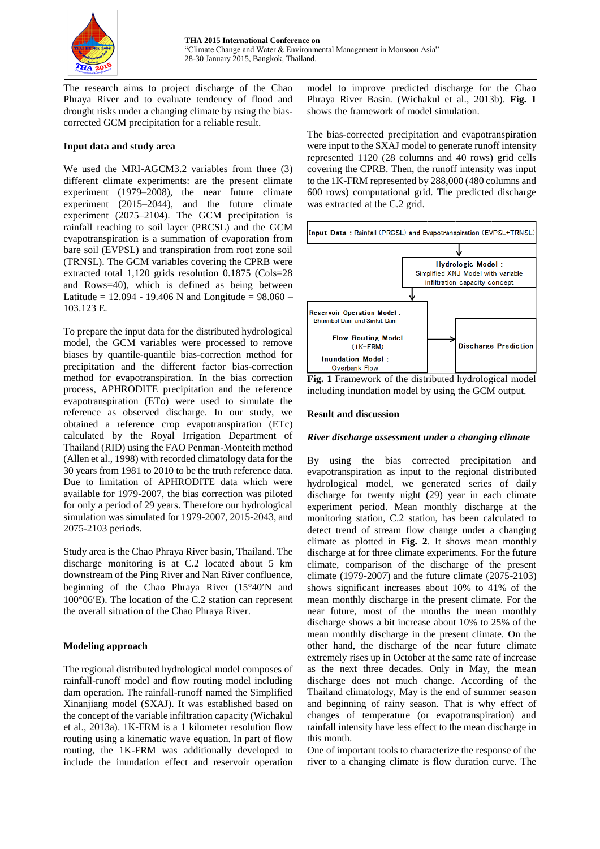

The research aims to project discharge of the Chao Phraya River and to evaluate tendency of flood and drought risks under a changing climate by using the biascorrected GCM precipitation for a reliable result.

## **Input data and study area**

We used the MRI-AGCM3.2 variables from three (3) different climate experiments: are the present climate experiment (1979–2008), the near future climate experiment (2015–2044), and the future climate experiment (2075–2104). The GCM precipitation is rainfall reaching to soil layer (PRCSL) and the GCM evapotranspiration is a summation of evaporation from bare soil (EVPSL) and transpiration from root zone soil (TRNSL). The GCM variables covering the CPRB were extracted total 1,120 grids resolution 0.1875 (Cols=28 and Rows=40), which is defined as being between Latitude =  $12.094 - 19.406$  N and Longitude =  $98.060 -$ 103.123 E.

To prepare the input data for the distributed hydrological model, the GCM variables were processed to remove biases by quantile-quantile bias-correction method for precipitation and the different factor bias-correction method for evapotranspiration. In the bias correction process, APHRODITE precipitation and the reference evapotranspiration (ETo) were used to simulate the reference as observed discharge. In our study, we obtained a reference crop evapotranspiration (ETc) calculated by the Royal Irrigation Department of Thailand (RID) using the FAO Penman-Monteith method (Allen et al., 1998) with recorded climatology data for the 30 years from 1981 to 2010 to be the truth reference data. Due to limitation of APHRODITE data which were available for 1979-2007, the bias correction was piloted for only a period of 29 years. Therefore our hydrological simulation was simulated for 1979-2007, 2015-2043, and 2075-2103 periods.

Study area is the Chao Phraya River basin, Thailand. The discharge monitoring is at C.2 located about 5 km downstream of the Ping River and Nan River confluence, beginning of the Chao Phraya River  $(15°40'N$  and 100°06E). The location of the C.2 station can represent the overall situation of the Chao Phraya River.

# **Modeling approach**

The regional distributed hydrological model composes of rainfall-runoff model and flow routing model including dam operation. The rainfall-runoff named the Simplified Xinanjiang model (SXAJ). It was established based on the concept of the variable infiltration capacity (Wichakul et al., 2013a). 1K-FRM is a 1 kilometer resolution flow routing using a kinematic wave equation. In part of flow routing, the 1K-FRM was additionally developed to include the inundation effect and reservoir operation

model to improve predicted discharge for the Chao Phraya River Basin. (Wichakul et al., 2013b). **Fig. 1** shows the framework of model simulation.

The bias-corrected precipitation and evapotranspiration were input to the SXAJ model to generate runoff intensity represented 1120 (28 columns and 40 rows) grid cells covering the CPRB. Then, the runoff intensity was input to the 1K-FRM represented by 288,000 (480 columns and 600 rows) computational grid. The predicted discharge was extracted at the C.2 grid.





## **Result and discussion**

### *River discharge assessment under a changing climate*

By using the bias corrected precipitation and evapotranspiration as input to the regional distributed hydrological model, we generated series of daily discharge for twenty night (29) year in each climate experiment period. Mean monthly discharge at the monitoring station, C.2 station, has been calculated to detect trend of stream flow change under a changing climate as plotted in **Fig. 2**. It shows mean monthly discharge at for three climate experiments. For the future climate, comparison of the discharge of the present climate (1979-2007) and the future climate (2075-2103) shows significant increases about 10% to 41% of the mean monthly discharge in the present climate. For the near future, most of the months the mean monthly discharge shows a bit increase about 10% to 25% of the mean monthly discharge in the present climate. On the other hand, the discharge of the near future climate extremely rises up in October at the same rate of increase as the next three decades. Only in May, the mean discharge does not much change. According of the Thailand climatology, May is the end of summer season and beginning of rainy season. That is why effect of changes of temperature (or evapotranspiration) and rainfall intensity have less effect to the mean discharge in this month.

One of important tools to characterize the response of the river to a changing climate is flow duration curve. The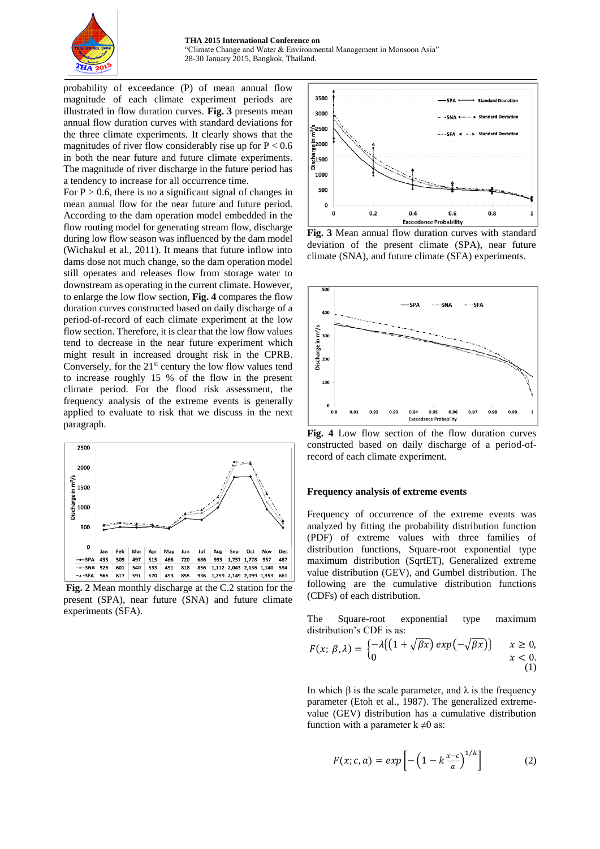

probability of exceedance (P) of mean annual flow magnitude of each climate experiment periods are illustrated in flow duration curves. **Fig. 3** presents mean annual flow duration curves with standard deviations for the three climate experiments. It clearly shows that the magnitudes of river flow considerably rise up for  $P < 0.6$ in both the near future and future climate experiments. The magnitude of river discharge in the future period has a tendency to increase for all occurrence time.

For  $P > 0.6$ , there is no a significant signal of changes in mean annual flow for the near future and future period. According to the dam operation model embedded in the flow routing model for generating stream flow, discharge during low flow season was influenced by the dam model (Wichakul et al., 2011). It means that future inflow into dams dose not much change, so the dam operation model still operates and releases flow from storage water to downstream as operating in the current climate. However, to enlarge the low flow section, **Fig. 4** compares the flow duration curves constructed based on daily discharge of a period-of-record of each climate experiment at the low flow section. Therefore, it is clear that the low flow values tend to decrease in the near future experiment which might result in increased drought risk in the CPRB. Conversely, for the  $21<sup>st</sup>$  century the low flow values tend to increase roughly 15 % of the flow in the present climate period. For the flood risk assessment, the frequency analysis of the extreme events is generally applied to evaluate to risk that we discuss in the next paragraph.



**Fig. 2** Mean monthly discharge at the C.2 station for the present (SPA), near future (SNA) and future climate experiments (SFA).



**Fig. 3** Mean annual flow duration curves with standard deviation of the present climate (SPA), near future climate (SNA), and future climate (SFA) experiments.



**Fig. 4** Low flow section of the flow duration curves constructed based on daily discharge of a period-ofrecord of each climate experiment.

#### **Frequency analysis of extreme events**

Frequency of occurrence of the extreme events was analyzed by fitting the probability distribution function (PDF) of extreme values with three families of distribution functions, Square-root exponential type maximum distribution (SqrtET), Generalized extreme value distribution (GEV), and Gumbel distribution. The following are the cumulative distribution functions (CDFs) of each distribution.

The Square-root exponential type maximum distribution's CDF is as:

$$
F(x; \beta, \lambda) = \begin{cases} -\lambda \{ (1 + \sqrt{\beta x}) \exp(-\sqrt{\beta x}) \} & x \ge 0, \\ 0 & x < 0. \end{cases}
$$

In which  $\beta$  is the scale parameter, and  $\lambda$  is the frequency parameter (Etoh et al., 1987). The generalized extremevalue (GEV) distribution has a cumulative distribution function with a parameter  $k \neq 0$  as:

$$
F(x; c, a) = exp\left[-\left(1 - k\frac{x - c}{a}\right)^{1/k}\right]
$$
 (2)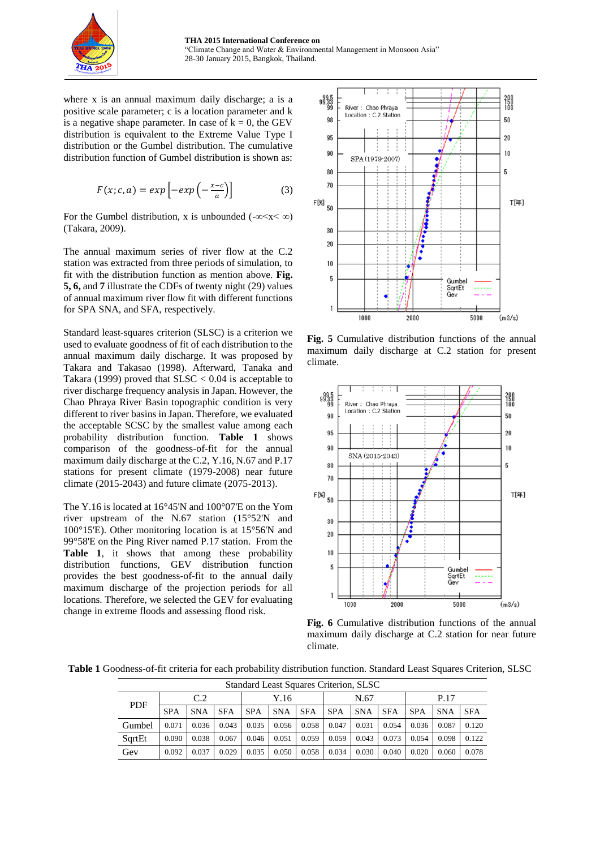

where x is an annual maximum daily discharge; a is a positive scale parameter; c is a location parameter and k is a negative shape parameter. In case of  $k = 0$ , the GEV distribution is equivalent to the Extreme Value Type I distribution or the Gumbel distribution. The cumulative distribution function of Gumbel distribution is shown as:

$$
F(x; c, a) = exp\left[-exp\left(-\frac{x-c}{a}\right)\right]
$$
 (3)

For the Gumbel distribution, x is unbounded ( $-\infty < x < \infty$ ) (Takara, 2009).

The annual maximum series of river flow at the C.2 station was extracted from three periods of simulation, to fit with the distribution function as mention above. **Fig. 5, 6,** and **7** illustrate the CDFs of twenty night (29) values of annual maximum river flow fit with different functions for SPA SNA, and SFA, respectively.

Standard least-squares criterion (SLSC) is a criterion we used to evaluate goodness of fit of each distribution to the annual maximum daily discharge. It was proposed by Takara and Takasao (1998). Afterward, Tanaka and Takara (1999) proved that  $SLSC < 0.04$  is acceptable to river discharge frequency analysis in Japan. However, the Chao Phraya River Basin topographic condition is very different to river basins in Japan. Therefore, we evaluated the acceptable SCSC by the smallest value among each probability distribution function. **Table 1** shows comparison of the goodness-of-fit for the annual maximum daily discharge at the C.2, Y.16, N.67 and P.17 stations for present climate (1979-2008) near future climate (2015-2043) and future climate (2075-2013).

The Y.16 is located at 16°45'N and 100°07'E on the Yom river upstream of the N.67 station (15°52'N and 100°15'E). Other monitoring location is at 15°56'N and 99°58'E on the Ping River named P.17 station. From the **Table 1**, it shows that among these probability distribution functions, GEV distribution function provides the best goodness-of-fit to the annual daily maximum discharge of the projection periods for all locations. Therefore, we selected the GEV for evaluating change in extreme floods and assessing flood risk.



**Fig. 5** Cumulative distribution functions of the annual maximum daily discharge at C.2 station for present climate.



**Fig. 6** Cumulative distribution functions of the annual maximum daily discharge at C.2 station for near future climate.

**Table 1** Goodness-of-fit criteria for each probability distribution function. Standard Least Squares Criterion, SLSC

| <b>Standard Least Squares Criterion, SLSC</b> |            |            |            |            |            |            |            |            |            |            |            |            |
|-----------------------------------------------|------------|------------|------------|------------|------------|------------|------------|------------|------------|------------|------------|------------|
| <b>PDF</b>                                    | C.2        |            |            | Y.16       |            |            | N.67       |            |            | P.17       |            |            |
|                                               | <b>SPA</b> | <b>SNA</b> | <b>SFA</b> | <b>SPA</b> | <b>SNA</b> | <b>SFA</b> | <b>SPA</b> | <b>SNA</b> | <b>SFA</b> | <b>SPA</b> | <b>SNA</b> | <b>SFA</b> |
| Gumbel                                        | 0.071      | 0.036      | 0.043      | 0.035      | 0.056      | 0.058      | 0.047      | 0.031      | 0.054      | 0.036      | 0.087      | 0.120      |
| SqrtEt                                        | 0.090      | 0.038      | 0.067      | 0.046      | 0.051      | 0.059      | 0.059      | 0.043      | 0.073      | 0.054      | 0.098      | 0.122      |
| Gev                                           | 0.092      | 0.037      | 0.029      | 0.035      | 0.050      | 0.058      | 0.034      | 0.030      | 0.040      | 0.020      | 0.060      | 0.078      |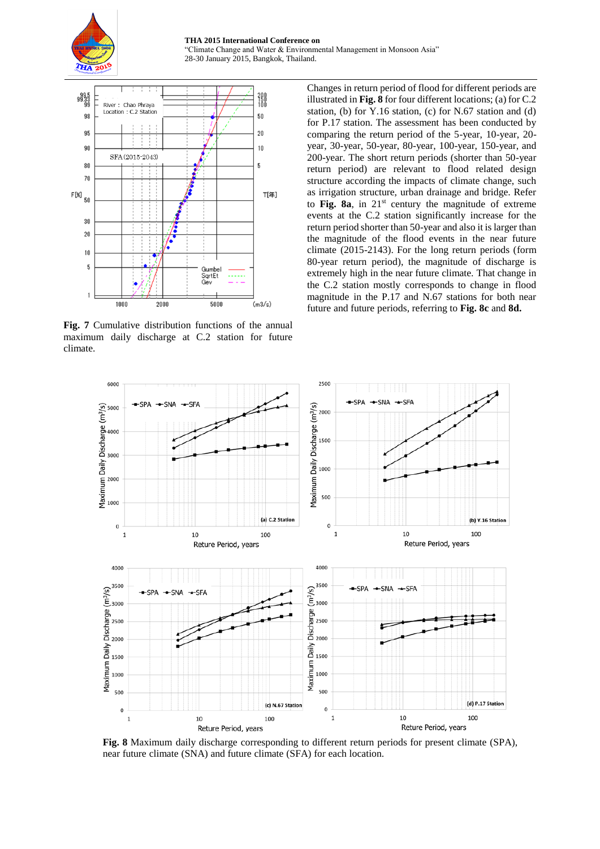



**Fig. 7** Cumulative distribution functions of the annual maximum daily discharge at C.2 station for future climate.

Changes in return period of flood for different periods are illustrated in **Fig. 8** for four different locations; (a) for C.2 station, (b) for Y.16 station, (c) for N.67 station and (d) for P.17 station. The assessment has been conducted by comparing the return period of the 5-year, 10-year, 20 year, 30-year, 50-year, 80-year, 100-year, 150-year, and 200-year. The short return periods (shorter than 50-year return period) are relevant to flood related design structure according the impacts of climate change, such as irrigation structure, urban drainage and bridge. Refer to **Fig. 8a**, in 21st century the magnitude of extreme events at the C.2 station significantly increase for the return period shorter than 50-year and also it is larger than the magnitude of the flood events in the near future climate (2015-2143). For the long return periods (form 80-year return period), the magnitude of discharge is extremely high in the near future climate. That change in the C.2 station mostly corresponds to change in flood magnitude in the P.17 and N.67 stations for both near future and future periods, referring to **Fig. 8c** and **8d.**



**Fig. 8** Maximum daily discharge corresponding to different return periods for present climate (SPA), near future climate (SNA) and future climate (SFA) for each location.